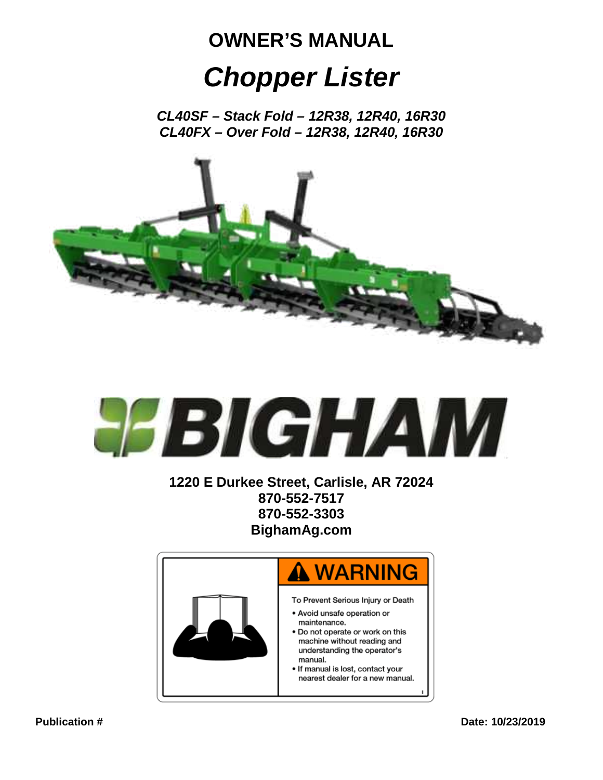# **OWNER'S MANUAL** *Chopper Lister*

*CL40SF – Stack Fold – 12R38, 12R40, 16R30 CL40FX – Over Fold – 12R38, 12R40, 16R30*





**1220 E Durkee Street, Carlisle, AR 72024 870-552-7517 870-552-3303 BighamAg.com**

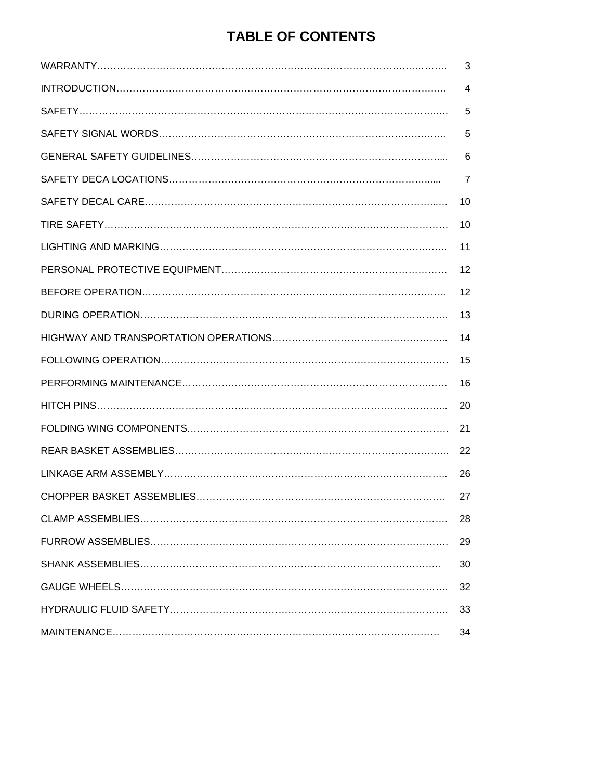# **TABLE OF CONTENTS**

| 3              |
|----------------|
| 4              |
| 5              |
| 5              |
| 6              |
| $\overline{7}$ |
| 10             |
| 10             |
| 11             |
| 12             |
| 12             |
| 13             |
| 14             |
| 15             |
| 16             |
| 20             |
| 21             |
| 22             |
| 26             |
| 27             |
| 28             |
| 29             |
| 30             |
| 32             |
| 33             |
| 34             |
|                |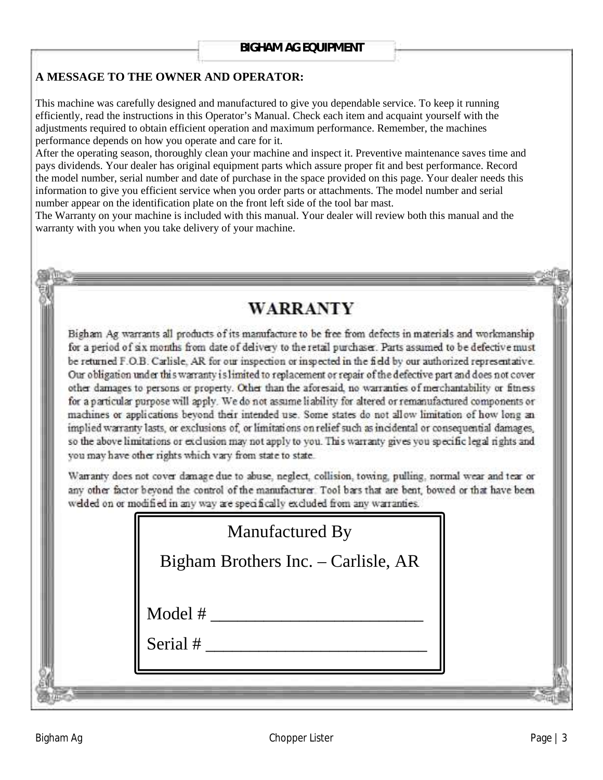#### **A MESSAGE TO THE OWNER AND OPERATOR:**

This machine was carefully designed and manufactured to give you dependable service. To keep it running efficiently, read the instructions in this Operator's Manual. Check each item and acquaint yourself with the adjustments required to obtain efficient operation and maximum performance. Remember, the machines performance depends on how you operate and care for it.

After the operating season, thoroughly clean your machine and inspect it. Preventive maintenance saves time and pays dividends. Your dealer has original equipment parts which assure proper fit and best performance. Record the model number, serial number and date of purchase in the space provided on this page. Your dealer needs this information to give you efficient service when you order parts or attachments. The model number and serial number appear on the identification plate on the front left side of the tool bar mast.

The Warranty on your machine is included with this manual. Your dealer will review both this manual and the warranty with you when you take delivery of your machine.

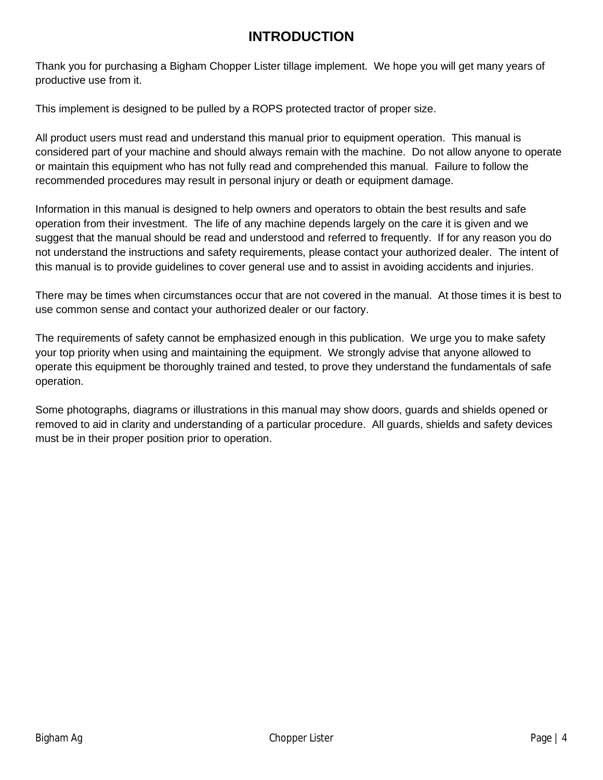# **INTRODUCTION**

Thank you for purchasing a Bigham Chopper Lister tillage implement. We hope you will get many years of productive use from it.

This implement is designed to be pulled by a ROPS protected tractor of proper size.

All product users must read and understand this manual prior to equipment operation. This manual is considered part of your machine and should always remain with the machine. Do not allow anyone to operate or maintain this equipment who has not fully read and comprehended this manual. Failure to follow the recommended procedures may result in personal injury or death or equipment damage.

Information in this manual is designed to help owners and operators to obtain the best results and safe operation from their investment. The life of any machine depends largely on the care it is given and we suggest that the manual should be read and understood and referred to frequently. If for any reason you do not understand the instructions and safety requirements, please contact your authorized dealer. The intent of this manual is to provide guidelines to cover general use and to assist in avoiding accidents and injuries.

There may be times when circumstances occur that are not covered in the manual. At those times it is best to use common sense and contact your authorized dealer or our factory.

The requirements of safety cannot be emphasized enough in this publication. We urge you to make safety your top priority when using and maintaining the equipment. We strongly advise that anyone allowed to operate this equipment be thoroughly trained and tested, to prove they understand the fundamentals of safe operation.

Some photographs, diagrams or illustrations in this manual may show doors, guards and shields opened or removed to aid in clarity and understanding of a particular procedure. All guards, shields and safety devices must be in their proper position prior to operation.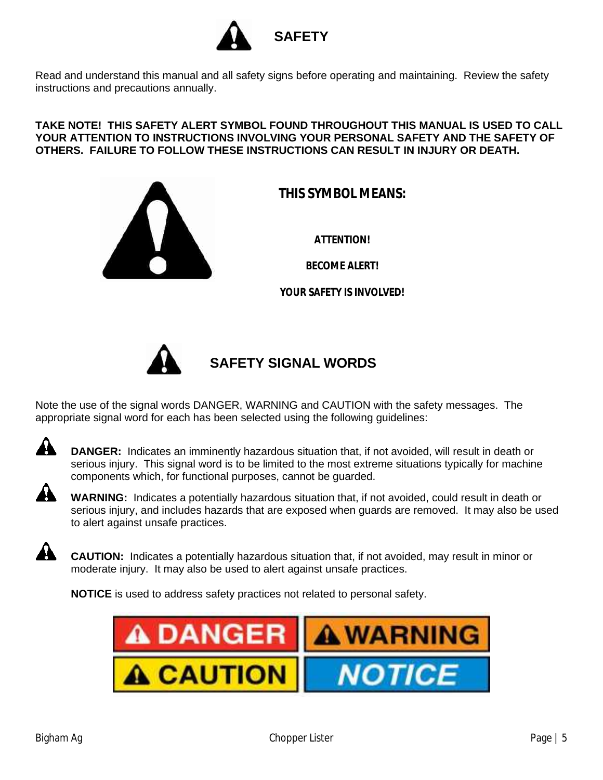

Read and understand this manual and all safety signs before operating and maintaining. Review the safety instructions and precautions annually.

#### **TAKE NOTE! THIS SAFETY ALERT SYMBOL FOUND THROUGHOUT THIS MANUAL IS USED TO CALL YOUR ATTENTION TO INSTRUCTIONS INVOLVING YOUR PERSONAL SAFETY AND THE SAFETY OF OTHERS. FAILURE TO FOLLOW THESE INSTRUCTIONS CAN RESULT IN INJURY OR DEATH.**



**THIS SYMBOL MEANS:**

**ATTENTION!**

**BECOME ALERT!**

**YOUR SAFETY IS INVOLVED!**



# **SAFETY SIGNAL WORDS**

Note the use of the signal words DANGER, WARNING and CAUTION with the safety messages. The appropriate signal word for each has been selected using the following guidelines:



**DANGER:** Indicates an imminently hazardous situation that, if not avoided, will result in death or serious injury. This signal word is to be limited to the most extreme situations typically for machine components which, for functional purposes, cannot be guarded.



A

**WARNING:** Indicates a potentially hazardous situation that, if not avoided, could result in death or serious injury, and includes hazards that are exposed when guards are removed. It may also be used to alert against unsafe practices.

**CAUTION:** Indicates a potentially hazardous situation that, if not avoided, may result in minor or moderate injury. It may also be used to alert against unsafe practices.

**NOTICE** is used to address safety practices not related to personal safety.

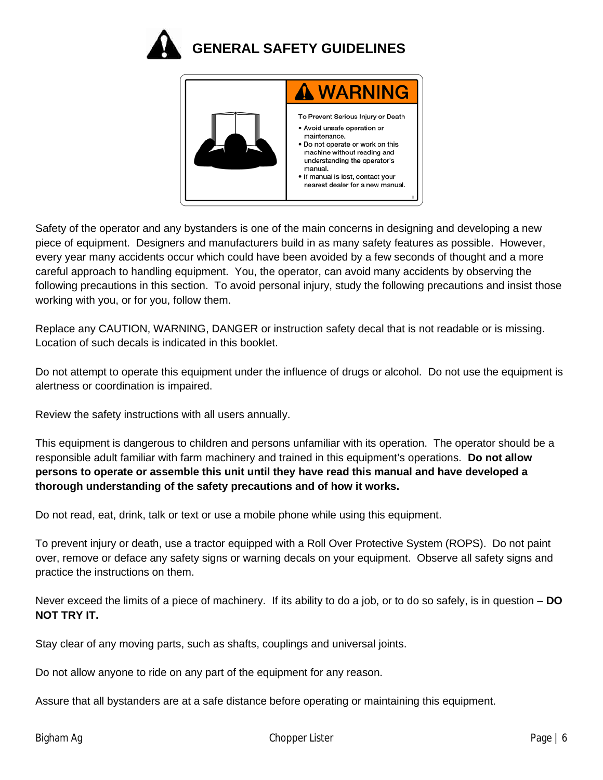



Safety of the operator and any bystanders is one of the main concerns in designing and developing a new piece of equipment. Designers and manufacturers build in as many safety features as possible. However, every year many accidents occur which could have been avoided by a few seconds of thought and a more careful approach to handling equipment. You, the operator, can avoid many accidents by observing the following precautions in this section. To avoid personal injury, study the following precautions and insist those working with you, or for you, follow them.

Replace any CAUTION, WARNING, DANGER or instruction safety decal that is not readable or is missing. Location of such decals is indicated in this booklet.

Do not attempt to operate this equipment under the influence of drugs or alcohol. Do not use the equipment is alertness or coordination is impaired.

Review the safety instructions with all users annually.

This equipment is dangerous to children and persons unfamiliar with its operation. The operator should be a responsible adult familiar with farm machinery and trained in this equipment's operations. **Do not allow persons to operate or assemble this unit until they have read this manual and have developed a thorough understanding of the safety precautions and of how it works.**

Do not read, eat, drink, talk or text or use a mobile phone while using this equipment.

To prevent injury or death, use a tractor equipped with a Roll Over Protective System (ROPS). Do not paint over, remove or deface any safety signs or warning decals on your equipment. Observe all safety signs and practice the instructions on them.

Never exceed the limits of a piece of machinery. If its ability to do a job, or to do so safely, is in question – **DO NOT TRY IT.**

Stay clear of any moving parts, such as shafts, couplings and universal joints.

Do not allow anyone to ride on any part of the equipment for any reason.

Assure that all bystanders are at a safe distance before operating or maintaining this equipment.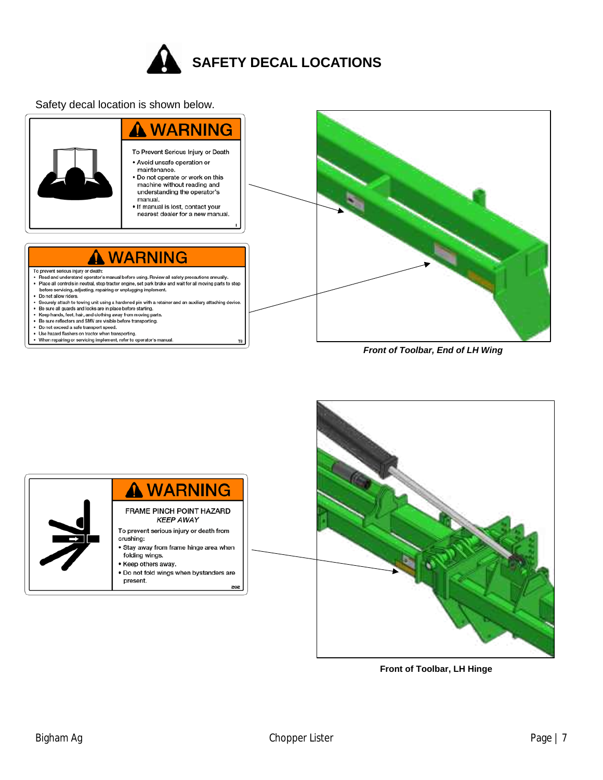

Safety decal location is shown below.





**Front of Toolbar, LH Hinge**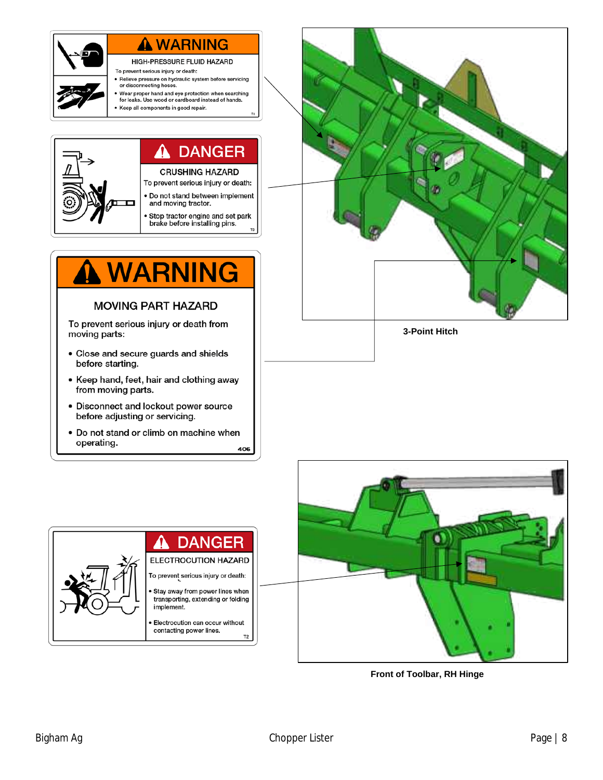

# A WARNING

HIGH-PRESSURE FLUID HAZARD

- To prevent serious injury or death: • Relieve pressure on hydraulic system before servicing
- or disconnecting hoses
- Wear proper hand and eye protection when searching<br>for leaks. Use wood or cardboard instead of hands. Keep all components in good repair.
	-



# **WARNING**

#### **MOVING PART HAZARD**

To prevent serious injury or death from moving parts:

- Close and secure guards and shields before starting.
- Keep hand, feet, hair and clothing away from moving parts.
- Disconnect and lockout power source before adjusting or servicing.
- Do not stand or climb on machine when operating. 406



**3-Point Hitch**





**Front of Toolbar, RH Hinge**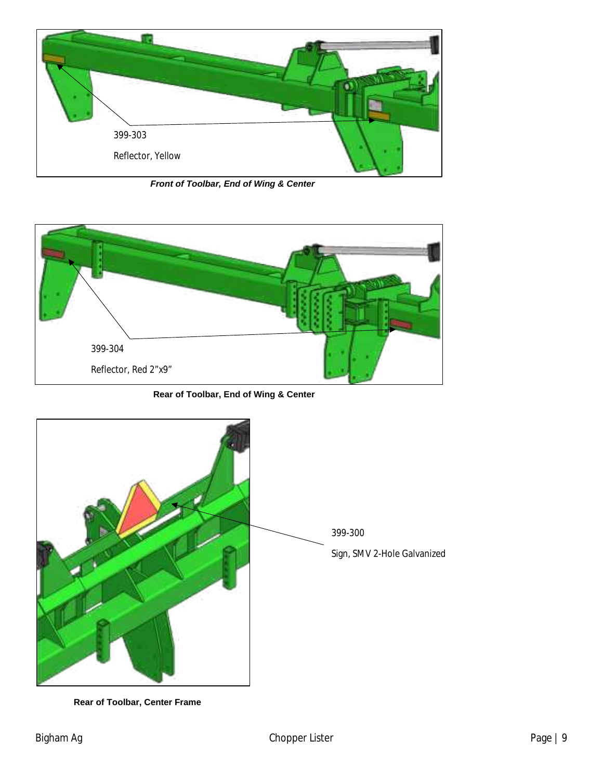

*Front of Toolbar, End of Wing & Center*



**Rear of Toolbar, End of Wing & Center**



**Rear of Toolbar, Center Frame**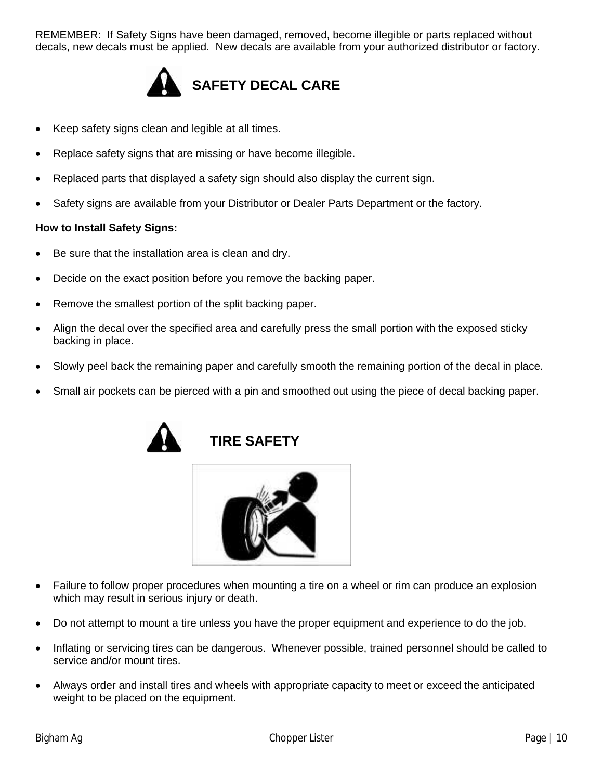REMEMBER: If Safety Signs have been damaged, removed, become illegible or parts replaced without decals, new decals must be applied. New decals are available from your authorized distributor or factory.



- Keep safety signs clean and legible at all times.
- Replace safety signs that are missing or have become illegible.
- Replaced parts that displayed a safety sign should also display the current sign.
- Safety signs are available from your Distributor or Dealer Parts Department or the factory.

#### **How to Install Safety Signs:**

- Be sure that the installation area is clean and dry.
- Decide on the exact position before you remove the backing paper.
- Remove the smallest portion of the split backing paper.
- Align the decal over the specified area and carefully press the small portion with the exposed sticky backing in place.
- Slowly peel back the remaining paper and carefully smooth the remaining portion of the decal in place.
- Small air pockets can be pierced with a pin and smoothed out using the piece of decal backing paper.







- Failure to follow proper procedures when mounting a tire on a wheel or rim can produce an explosion which may result in serious injury or death.
- Do not attempt to mount a tire unless you have the proper equipment and experience to do the job.
- Inflating or servicing tires can be dangerous. Whenever possible, trained personnel should be called to service and/or mount tires.
- Always order and install tires and wheels with appropriate capacity to meet or exceed the anticipated weight to be placed on the equipment.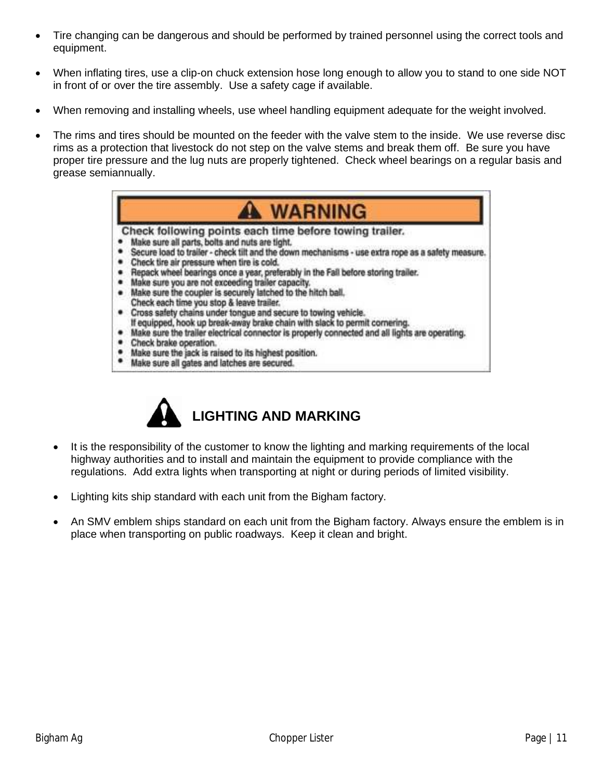- Tire changing can be dangerous and should be performed by trained personnel using the correct tools and equipment.
- When inflating tires, use a clip-on chuck extension hose long enough to allow you to stand to one side NOT in front of or over the tire assembly. Use a safety cage if available.
- When removing and installing wheels, use wheel handling equipment adequate for the weight involved.
- The rims and tires should be mounted on the feeder with the valve stem to the inside. We use reverse disc rims as a protection that livestock do not step on the valve stems and break them off. Be sure you have proper tire pressure and the lug nuts are properly tightened. Check wheel bearings on a regular basis and grease semiannually.





- It is the responsibility of the customer to know the lighting and marking requirements of the local highway authorities and to install and maintain the equipment to provide compliance with the regulations. Add extra lights when transporting at night or during periods of limited visibility.
- Lighting kits ship standard with each unit from the Bigham factory.
- An SMV emblem ships standard on each unit from the Bigham factory. Always ensure the emblem is in place when transporting on public roadways. Keep it clean and bright.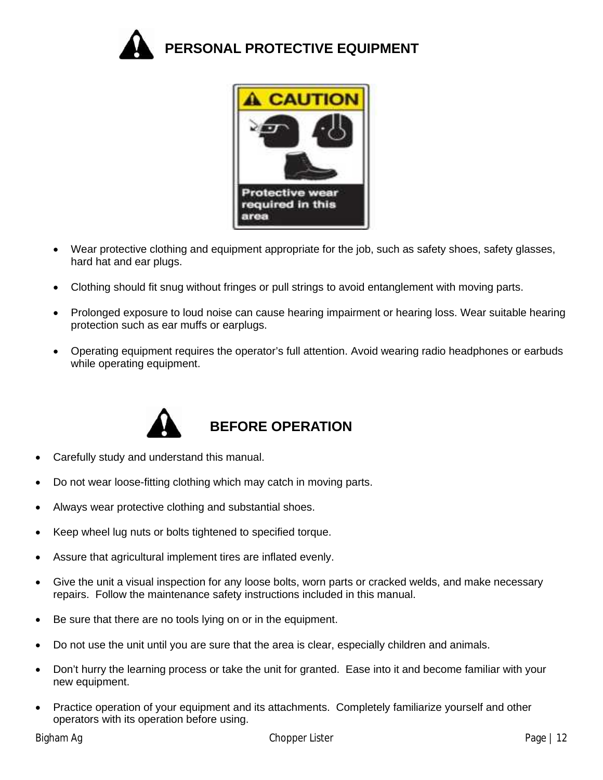



- Wear protective clothing and equipment appropriate for the job, such as safety shoes, safety glasses, hard hat and ear plugs.
- Clothing should fit snug without fringes or pull strings to avoid entanglement with moving parts.
- Prolonged exposure to loud noise can cause hearing impairment or hearing loss. Wear suitable hearing protection such as ear muffs or earplugs.
- Operating equipment requires the operator's full attention. Avoid wearing radio headphones or earbuds while operating equipment.



### **BEFORE OPERATION**

- Carefully study and understand this manual.
- Do not wear loose-fitting clothing which may catch in moving parts.
- Always wear protective clothing and substantial shoes.
- Keep wheel lug nuts or bolts tightened to specified torque.
- Assure that agricultural implement tires are inflated evenly.
- Give the unit a visual inspection for any loose bolts, worn parts or cracked welds, and make necessary repairs. Follow the maintenance safety instructions included in this manual.
- Be sure that there are no tools lying on or in the equipment.
- Do not use the unit until you are sure that the area is clear, especially children and animals.
- Don't hurry the learning process or take the unit for granted. Ease into it and become familiar with your new equipment.
- Practice operation of your equipment and its attachments. Completely familiarize yourself and other operators with its operation before using.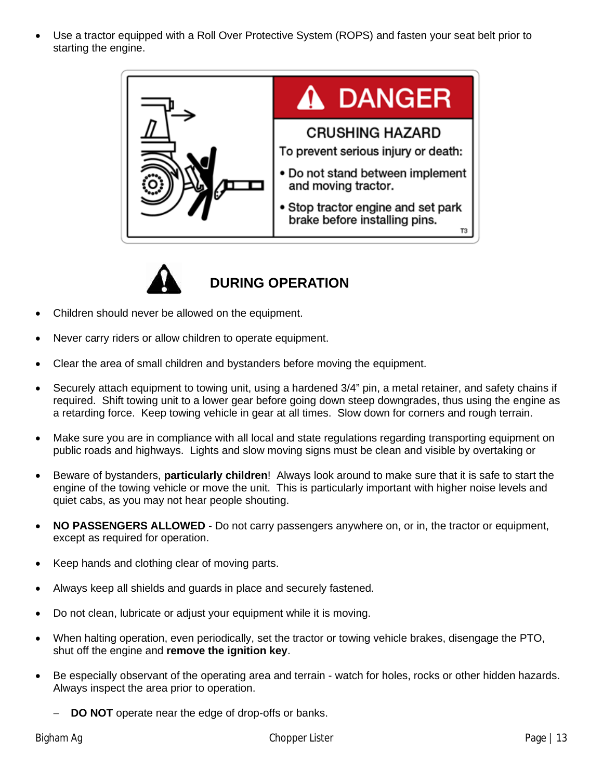• Use a tractor equipped with a Roll Over Protective System (ROPS) and fasten your seat belt prior to starting the engine.





# **DURING OPERATION**

- Children should never be allowed on the equipment.
- Never carry riders or allow children to operate equipment.
- Clear the area of small children and bystanders before moving the equipment.
- Securely attach equipment to towing unit, using a hardened 3/4" pin, a metal retainer, and safety chains if required. Shift towing unit to a lower gear before going down steep downgrades, thus using the engine as a retarding force. Keep towing vehicle in gear at all times. Slow down for corners and rough terrain.
- Make sure you are in compliance with all local and state regulations regarding transporting equipment on public roads and highways. Lights and slow moving signs must be clean and visible by overtaking or
- Beware of bystanders, **particularly children**! Always look around to make sure that it is safe to start the engine of the towing vehicle or move the unit. This is particularly important with higher noise levels and quiet cabs, as you may not hear people shouting.
- **NO PASSENGERS ALLOWED** Do not carry passengers anywhere on, or in, the tractor or equipment, except as required for operation.
- Keep hands and clothing clear of moving parts.
- Always keep all shields and guards in place and securely fastened.
- Do not clean, lubricate or adjust your equipment while it is moving.
- When halting operation, even periodically, set the tractor or towing vehicle brakes, disengage the PTO, shut off the engine and **remove the ignition key**.
- Be especially observant of the operating area and terrain watch for holes, rocks or other hidden hazards. Always inspect the area prior to operation.
	- **DO NOT** operate near the edge of drop-offs or banks.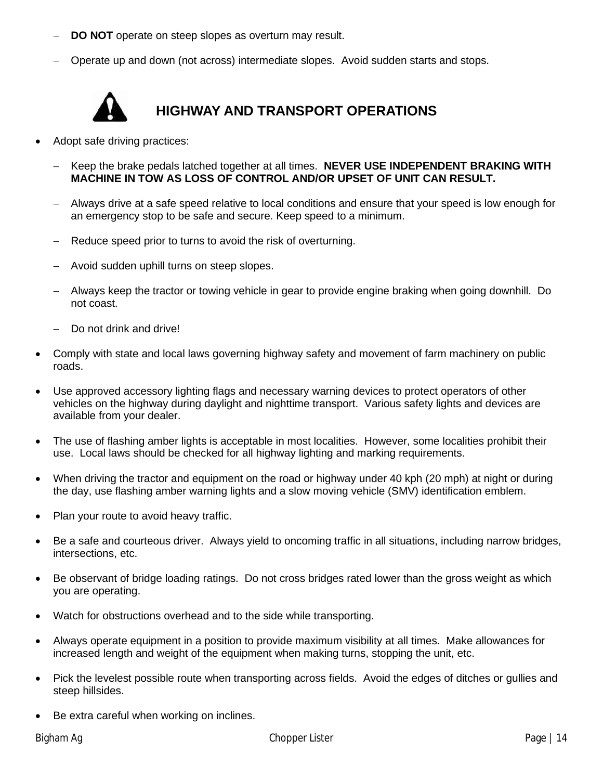- **DO NOT** operate on steep slopes as overturn may result.
- − Operate up and down (not across) intermediate slopes. Avoid sudden starts and stops.



# **HIGHWAY AND TRANSPORT OPERATIONS**

- Adopt safe driving practices:
	- − Keep the brake pedals latched together at all times. **NEVER USE INDEPENDENT BRAKING WITH MACHINE IN TOW AS LOSS OF CONTROL AND/OR UPSET OF UNIT CAN RESULT.**
	- − Always drive at a safe speed relative to local conditions and ensure that your speed is low enough for an emergency stop to be safe and secure. Keep speed to a minimum.
	- Reduce speed prior to turns to avoid the risk of overturning.
	- − Avoid sudden uphill turns on steep slopes.
	- − Always keep the tractor or towing vehicle in gear to provide engine braking when going downhill. Do not coast.
	- Do not drink and drive!
- Comply with state and local laws governing highway safety and movement of farm machinery on public roads.
- Use approved accessory lighting flags and necessary warning devices to protect operators of other vehicles on the highway during daylight and nighttime transport. Various safety lights and devices are available from your dealer.
- The use of flashing amber lights is acceptable in most localities. However, some localities prohibit their use. Local laws should be checked for all highway lighting and marking requirements.
- When driving the tractor and equipment on the road or highway under 40 kph (20 mph) at night or during the day, use flashing amber warning lights and a slow moving vehicle (SMV) identification emblem.
- Plan your route to avoid heavy traffic.
- Be a safe and courteous driver. Always yield to oncoming traffic in all situations, including narrow bridges, intersections, etc.
- Be observant of bridge loading ratings. Do not cross bridges rated lower than the gross weight as which you are operating.
- Watch for obstructions overhead and to the side while transporting.
- Always operate equipment in a position to provide maximum visibility at all times. Make allowances for increased length and weight of the equipment when making turns, stopping the unit, etc.
- Pick the levelest possible route when transporting across fields. Avoid the edges of ditches or gullies and steep hillsides.
- Be extra careful when working on inclines.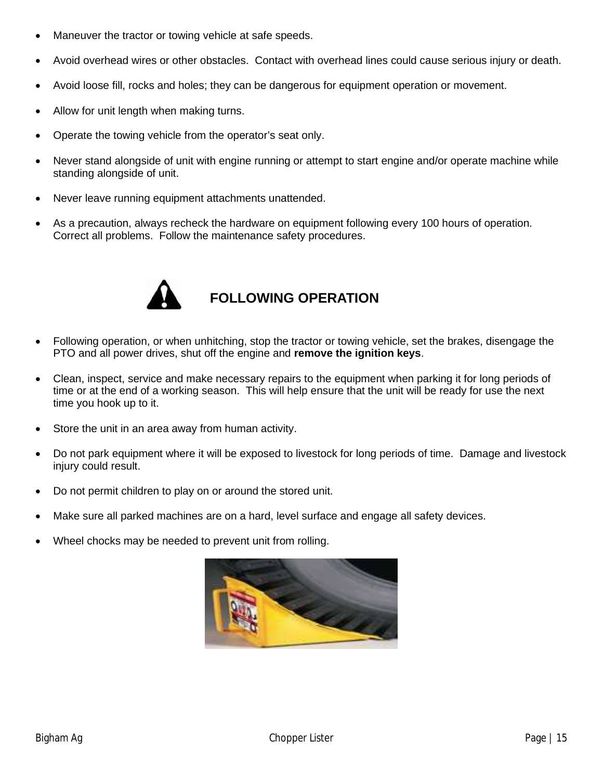- Maneuver the tractor or towing vehicle at safe speeds.
- Avoid overhead wires or other obstacles. Contact with overhead lines could cause serious injury or death.
- Avoid loose fill, rocks and holes; they can be dangerous for equipment operation or movement.
- Allow for unit length when making turns.
- Operate the towing vehicle from the operator's seat only.
- Never stand alongside of unit with engine running or attempt to start engine and/or operate machine while standing alongside of unit.
- Never leave running equipment attachments unattended.
- As a precaution, always recheck the hardware on equipment following every 100 hours of operation. Correct all problems. Follow the maintenance safety procedures.



# **FOLLOWING OPERATION**

- Following operation, or when unhitching, stop the tractor or towing vehicle, set the brakes, disengage the PTO and all power drives, shut off the engine and **remove the ignition keys**.
- Clean, inspect, service and make necessary repairs to the equipment when parking it for long periods of time or at the end of a working season. This will help ensure that the unit will be ready for use the next time you hook up to it.
- Store the unit in an area away from human activity.
- Do not park equipment where it will be exposed to livestock for long periods of time. Damage and livestock injury could result.
- Do not permit children to play on or around the stored unit.
- Make sure all parked machines are on a hard, level surface and engage all safety devices.
- Wheel chocks may be needed to prevent unit from rolling.

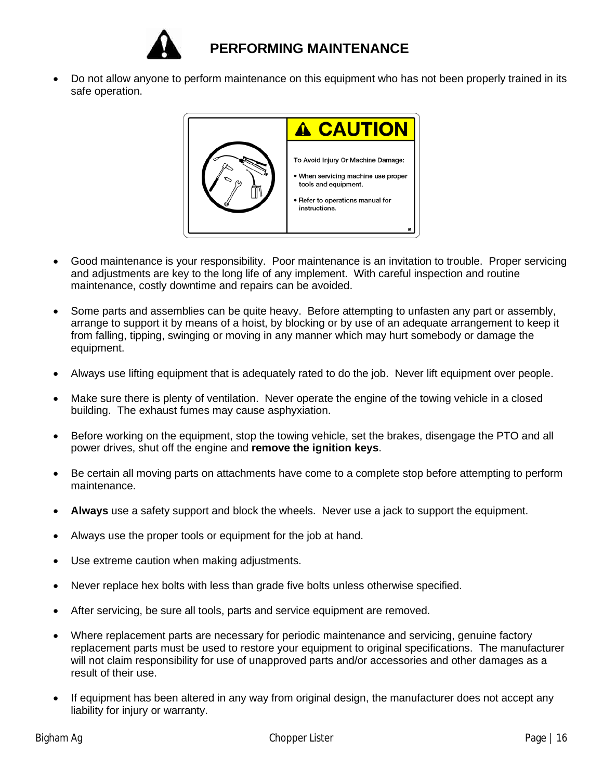

# **PERFORMING MAINTENANCE**

• Do not allow anyone to perform maintenance on this equipment who has not been properly trained in its safe operation.



- Good maintenance is your responsibility. Poor maintenance is an invitation to trouble. Proper servicing and adjustments are key to the long life of any implement. With careful inspection and routine maintenance, costly downtime and repairs can be avoided.
- Some parts and assemblies can be quite heavy. Before attempting to unfasten any part or assembly, arrange to support it by means of a hoist, by blocking or by use of an adequate arrangement to keep it from falling, tipping, swinging or moving in any manner which may hurt somebody or damage the equipment.
- Always use lifting equipment that is adequately rated to do the job. Never lift equipment over people.
- Make sure there is plenty of ventilation. Never operate the engine of the towing vehicle in a closed building. The exhaust fumes may cause asphyxiation.
- Before working on the equipment, stop the towing vehicle, set the brakes, disengage the PTO and all power drives, shut off the engine and **remove the ignition keys**.
- Be certain all moving parts on attachments have come to a complete stop before attempting to perform maintenance.
- **Always** use a safety support and block the wheels. Never use a jack to support the equipment.
- Always use the proper tools or equipment for the job at hand.
- Use extreme caution when making adjustments.
- Never replace hex bolts with less than grade five bolts unless otherwise specified.
- After servicing, be sure all tools, parts and service equipment are removed.
- Where replacement parts are necessary for periodic maintenance and servicing, genuine factory replacement parts must be used to restore your equipment to original specifications. The manufacturer will not claim responsibility for use of unapproved parts and/or accessories and other damages as a result of their use.
- If equipment has been altered in any way from original design, the manufacturer does not accept any liability for injury or warranty.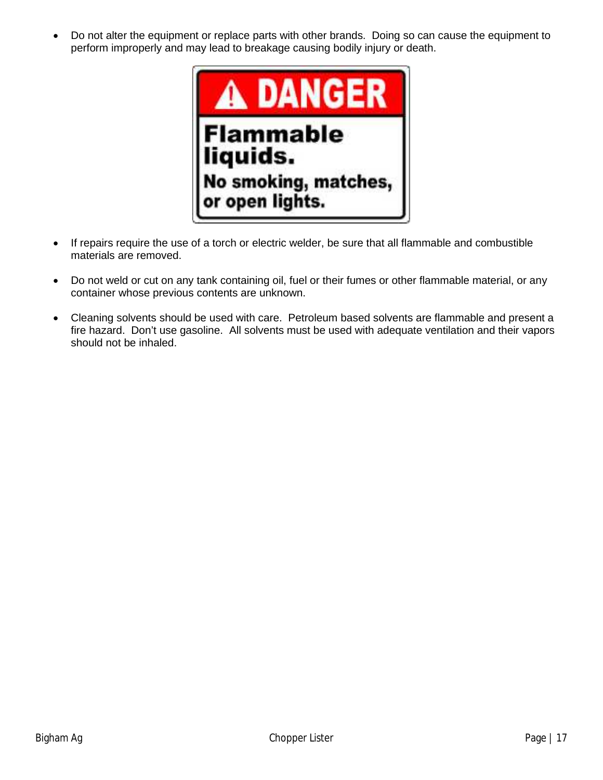• Do not alter the equipment or replace parts with other brands. Doing so can cause the equipment to perform improperly and may lead to breakage causing bodily injury or death.



- If repairs require the use of a torch or electric welder, be sure that all flammable and combustible materials are removed.
- Do not weld or cut on any tank containing oil, fuel or their fumes or other flammable material, or any container whose previous contents are unknown.
- Cleaning solvents should be used with care. Petroleum based solvents are flammable and present a fire hazard. Don't use gasoline. All solvents must be used with adequate ventilation and their vapors should not be inhaled.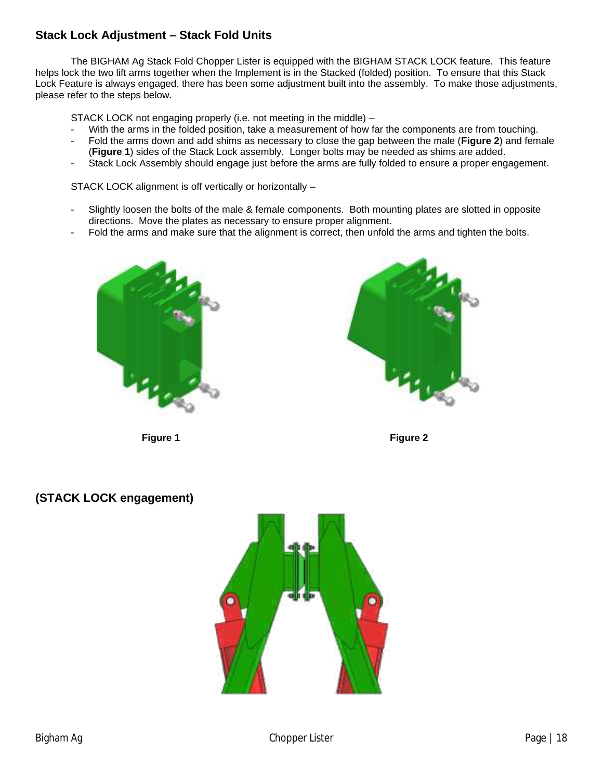#### **Stack Lock Adjustment – Stack Fold Units**

The BIGHAM Ag Stack Fold Chopper Lister is equipped with the BIGHAM STACK LOCK feature. This feature helps lock the two lift arms together when the Implement is in the Stacked (folded) position. To ensure that this Stack Lock Feature is always engaged, there has been some adjustment built into the assembly. To make those adjustments, please refer to the steps below.

STACK LOCK not engaging properly (i.e. not meeting in the middle) –

- With the arms in the folded position, take a measurement of how far the components are from touching.
- Fold the arms down and add shims as necessary to close the gap between the male (**Figure 2**) and female (**Figure 1**) sides of the Stack Lock assembly. Longer bolts may be needed as shims are added.
- Stack Lock Assembly should engage just before the arms are fully folded to ensure a proper engagement.

STACK LOCK alignment is off vertically or horizontally –

- Slightly loosen the bolts of the male & female components. Both mounting plates are slotted in opposite directions. Move the plates as necessary to ensure proper alignment.
- Fold the arms and make sure that the alignment is correct, then unfold the arms and tighten the bolts.







#### **(STACK LOCK engagement)**

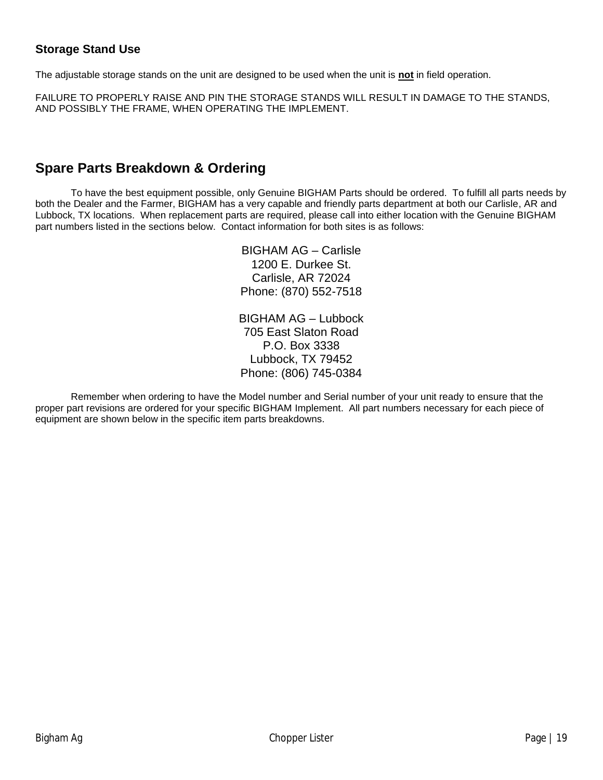#### **Storage Stand Use**

The adjustable storage stands on the unit are designed to be used when the unit is **not** in field operation.

FAILURE TO PROPERLY RAISE AND PIN THE STORAGE STANDS WILL RESULT IN DAMAGE TO THE STANDS, AND POSSIBLY THE FRAME, WHEN OPERATING THE IMPLEMENT.

#### **Spare Parts Breakdown & Ordering**

To have the best equipment possible, only Genuine BIGHAM Parts should be ordered. To fulfill all parts needs by both the Dealer and the Farmer, BIGHAM has a very capable and friendly parts department at both our Carlisle, AR and Lubbock, TX locations. When replacement parts are required, please call into either location with the Genuine BIGHAM part numbers listed in the sections below. Contact information for both sites is as follows:

> BIGHAM AG – Carlisle 1200 E. Durkee St. Carlisle, AR 72024 Phone: (870) 552-7518

BIGHAM AG – Lubbock 705 East Slaton Road P.O. Box 3338 Lubbock, TX 79452 Phone: (806) 745-0384

Remember when ordering to have the Model number and Serial number of your unit ready to ensure that the proper part revisions are ordered for your specific BIGHAM Implement. All part numbers necessary for each piece of equipment are shown below in the specific item parts breakdowns.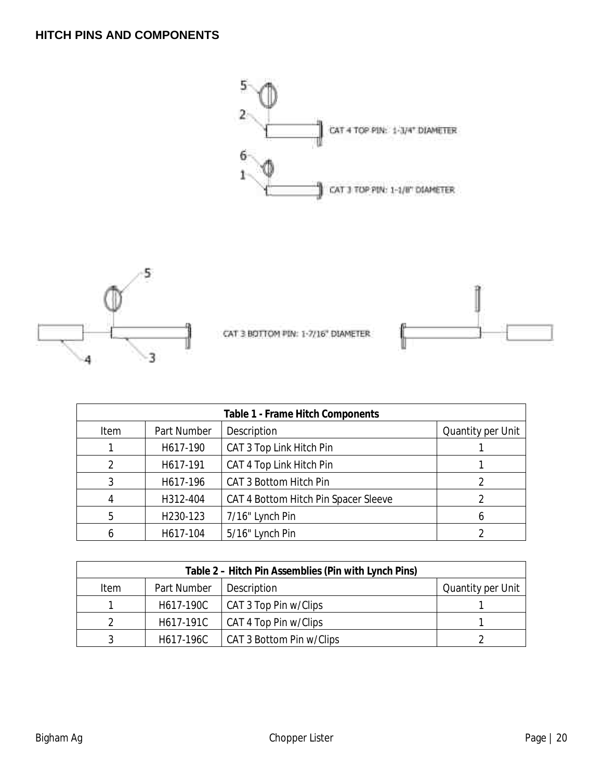#### **HITCH PINS AND COMPONENTS**



$$
\frac{\text{d}^2}{\text{d}^2}
$$

CAT 3 BOTTOM PIN: 1-7/16" DIAMETER



| Table 1 - Frame Hitch Components |             |                                      |                   |
|----------------------------------|-------------|--------------------------------------|-------------------|
| Item                             | Part Number | Description                          | Quantity per Unit |
|                                  | H617-190    | CAT 3 Top Link Hitch Pin             |                   |
|                                  | H617-191    | CAT 4 Top Link Hitch Pin             |                   |
| 3                                | H617-196    | CAT 3 Bottom Hitch Pin               |                   |
|                                  | H312-404    | CAT 4 Bottom Hitch Pin Spacer Sleeve |                   |
| 5                                | H230-123    | 7/16" Lynch Pin                      |                   |
|                                  | H617-104    | 5/16" Lynch Pin                      |                   |

| Table 2 - Hitch Pin Assemblies (Pin with Lynch Pins) |             |                          |                   |
|------------------------------------------------------|-------------|--------------------------|-------------------|
| <b>Item</b>                                          | Part Number | Description              | Quantity per Unit |
|                                                      | H617-190C   | CAT 3 Top Pin w/Clips    |                   |
|                                                      | H617-191C   | CAT 4 Top Pin w/Clips    |                   |
|                                                      | H617-196C   | CAT 3 Bottom Pin w/Clips |                   |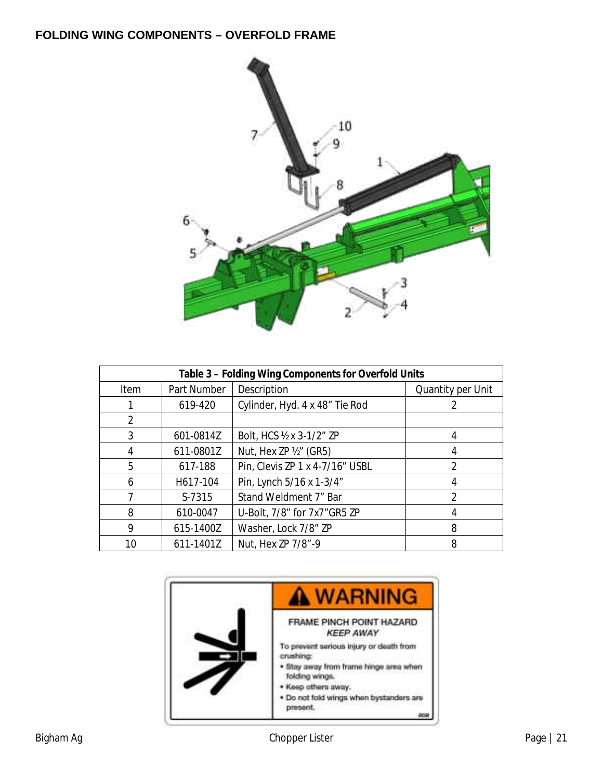#### **FOLDING WING COMPONENTS – OVERFOLD FRAME**



| Table 3 - Folding Wing Components for Overfold Units |             |                                 |                   |
|------------------------------------------------------|-------------|---------------------------------|-------------------|
| Item                                                 | Part Number | Description                     | Quantity per Unit |
|                                                      | 619-420     | Cylinder, Hyd. 4 x 48" Tie Rod  |                   |
| $\mathcal{D}$                                        |             |                                 |                   |
| 3                                                    | 601-0814Z   | Bolt, HCS ½ x 3-1/2" ZP         | 4                 |
| 4                                                    | 611-0801Z   | Nut, Hex ZP ½" (GR5)            | 4                 |
| 5                                                    | 617-188     | Pin, Clevis ZP 1 x 4-7/16" USBL | $\mathcal{P}$     |
| 6                                                    | H617-104    | Pin, Lynch 5/16 x 1-3/4"        | 4                 |
|                                                      | S-7315      | Stand Weldment 7" Bar           | $\mathfrak{D}$    |
| 8                                                    | 610-0047    | U-Bolt, 7/8" for 7x7" GR5 ZP    |                   |
| 9                                                    | 615-1400Z   | Washer, Lock 7/8" ZP            | 8                 |
| 10                                                   | 611-1401Z   | Nut, Hex ZP 7/8"-9              | 8                 |

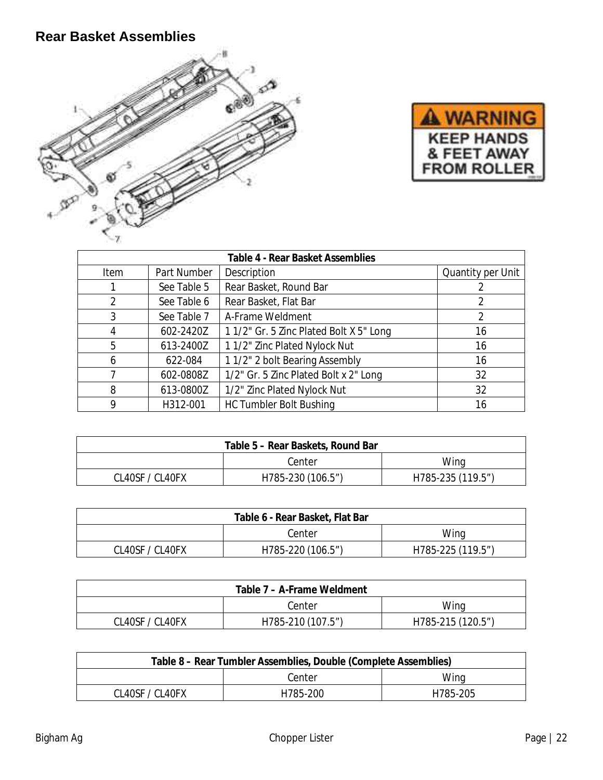# **Rear Basket Assemblies**





| Table 4 - Rear Basket Assemblies |             |                                        |                   |
|----------------------------------|-------------|----------------------------------------|-------------------|
| Item                             | Part Number | Description                            | Quantity per Unit |
|                                  | See Table 5 | Rear Basket, Round Bar                 |                   |
|                                  | See Table 6 | Rear Basket, Flat Bar                  |                   |
| 3                                | See Table 7 | A-Frame Weldment                       |                   |
|                                  | 602-2420Z   | 11/2" Gr. 5 Zinc Plated Bolt X 5" Long | 16                |
| 5                                | 613-2400Z   | 1 1/2" Zinc Plated Nylock Nut          | 16                |
| 6                                | 622-084     | 11/2" 2 bolt Bearing Assembly          | 16                |
|                                  | 602-0808Z   | 1/2" Gr. 5 Zinc Plated Bolt x 2" Long  | 32                |
| 8                                | 613-0800Z   | 1/2" Zinc Plated Nylock Nut            | 32                |
|                                  | H312-001    | <b>HC Tumbler Bolt Bushing</b>         | 16                |

| Table 5 – Rear Baskets, Round Bar |                   |                   |
|-----------------------------------|-------------------|-------------------|
|                                   | Center            | Wing              |
| CL40SF / CL40FX                   | H785-230 (106.5") | H785-235 (119.5") |

| Table 6 - Rear Basket, Flat Bar |                   |                   |
|---------------------------------|-------------------|-------------------|
|                                 | Center            | Wing              |
| CL40SF / CL40FX                 | H785-220 (106.5") | H785-225 (119.5") |

| Table 7 – A-Frame Weldment |                   |                   |
|----------------------------|-------------------|-------------------|
|                            | Center            | Wing              |
| CL40SF / CL40FX            | H785-210 (107.5") | H785-215 (120.5") |

| Table 8 – Rear Tumbler Assemblies, Double (Complete Assemblies) |          |          |  |
|-----------------------------------------------------------------|----------|----------|--|
| Center<br>Wing                                                  |          |          |  |
| CL40SF / CL40FX                                                 | H785-200 | H785-205 |  |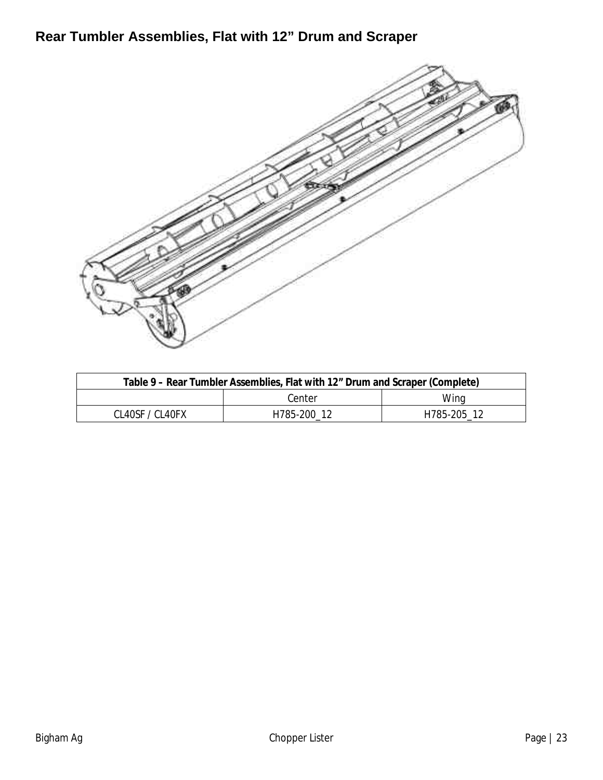**Rear Tumbler Assemblies, Flat with 12" Drum and Scraper**



| Table 9 – Rear Tumbler Assemblies, Flat with 12" Drum and Scraper (Complete) |             |             |
|------------------------------------------------------------------------------|-------------|-------------|
|                                                                              | Center      | Wing        |
| CL40SE / CL40EX                                                              | H785-200 12 | H785-205 12 |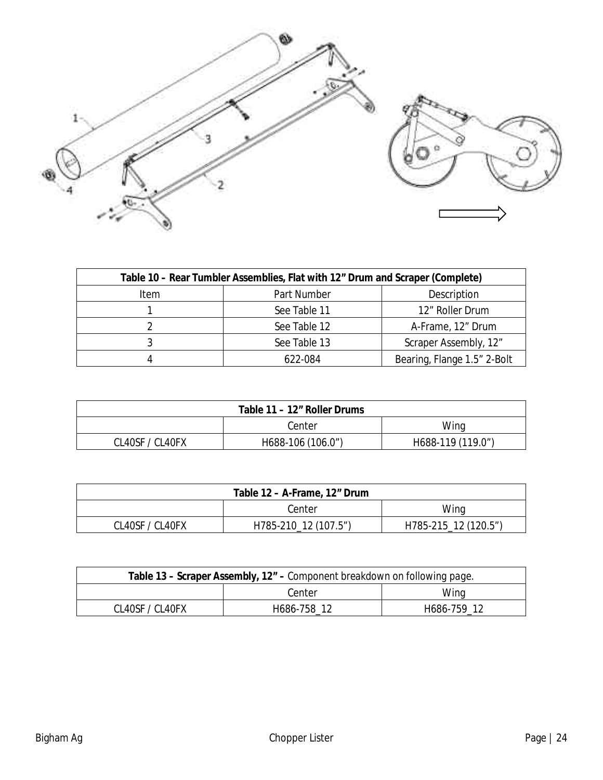

| Table 10 – Rear Tumbler Assemblies, Flat with 12" Drum and Scraper (Complete) |              |                             |  |
|-------------------------------------------------------------------------------|--------------|-----------------------------|--|
| Item                                                                          | Part Number  | Description                 |  |
|                                                                               | See Table 11 | 12" Roller Drum             |  |
|                                                                               | See Table 12 | A-Frame, 12" Drum           |  |
|                                                                               | See Table 13 | Scraper Assembly, 12"       |  |
|                                                                               | 622-084      | Bearing, Flange 1.5" 2-Bolt |  |

| Table 11 – 12" Roller Drums |                   |                   |
|-----------------------------|-------------------|-------------------|
|                             | Center            | Wing              |
| CL40SF / CL40FX             | H688-106 (106.0") | H688-119 (119.0") |

|                 | Table 12 – A-Frame, 12" Drum |                      |
|-----------------|------------------------------|----------------------|
|                 | Center                       | Wing                 |
| CL40SF / CL40FX | H785-210_12 (107.5")         | H785-215_12 (120.5") |

| Table 13 – Scraper Assembly, 12" – Component breakdown on following page. |             |             |
|---------------------------------------------------------------------------|-------------|-------------|
|                                                                           | Center      | Wing        |
| CL40SE / CL40EX                                                           | H686-758 12 | H686-759 12 |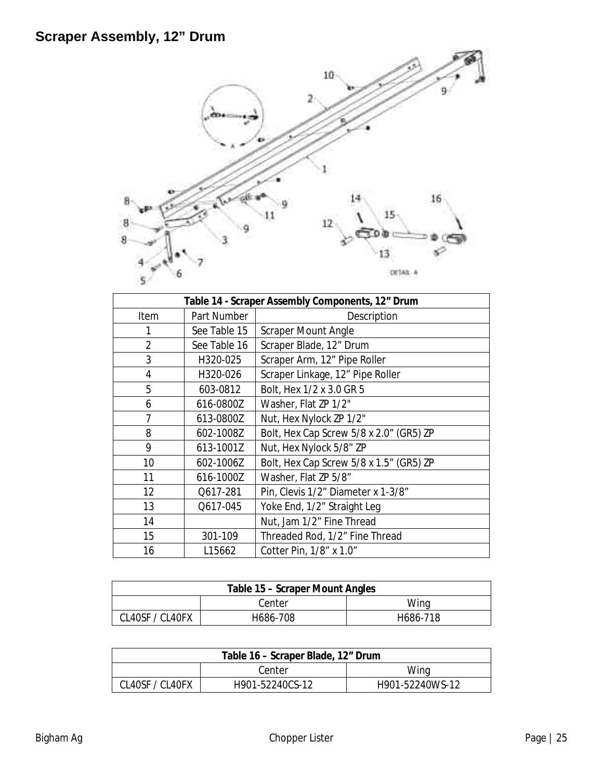

| Table 14 - Scraper Assembly Components, 12" Drum |              |                                         |  |
|--------------------------------------------------|--------------|-----------------------------------------|--|
| Item                                             | Part Number  | Description                             |  |
| 1                                                | See Table 15 | <b>Scraper Mount Angle</b>              |  |
| $\overline{2}$                                   | See Table 16 | Scraper Blade, 12" Drum                 |  |
| 3                                                | H320-025     | Scraper Arm, 12" Pipe Roller            |  |
| $\overline{4}$                                   | H320-026     | Scraper Linkage, 12" Pipe Roller        |  |
| 5                                                | 603-0812     | Bolt, Hex 1/2 x 3.0 GR 5                |  |
| 6                                                | 616-0800Z    | Washer, Flat ZP 1/2"                    |  |
| $\overline{7}$                                   | 613-0800Z    | Nut, Hex Nylock ZP 1/2"                 |  |
| 8                                                | 602-1008Z    | Bolt, Hex Cap Screw 5/8 x 2.0" (GR5) ZP |  |
| 9                                                | 613-1001Z    | Nut, Hex Nylock 5/8" ZP                 |  |
| 10                                               | 602-1006Z    | Bolt, Hex Cap Screw 5/8 x 1.5" (GR5) ZP |  |
| 11                                               | 616-1000Z    | Washer, Flat ZP 5/8"                    |  |
| 12                                               | Q617-281     | Pin, Clevis 1/2" Diameter x 1-3/8"      |  |
| 13                                               | Q617-045     | Yoke End, 1/2" Straight Leg             |  |
| 14                                               |              | Nut, Jam 1/2" Fine Thread               |  |
| 15                                               | 301-109      | Threaded Rod, 1/2" Fine Thread          |  |
| 16                                               | L15662       | Cotter Pin, 1/8" x 1.0"                 |  |

|                 | Table 15 – Scraper Mount Angles |          |
|-----------------|---------------------------------|----------|
|                 | Center                          | Wina     |
| CL40SF / CL40FX | H686-708                        | H686-718 |

| Table 16 – Scraper Blade, 12" Drum |                 |                 |
|------------------------------------|-----------------|-----------------|
| Wing<br>Center                     |                 |                 |
| CL40SF / CL40FX                    | H901-52240CS-12 | H901-52240WS-12 |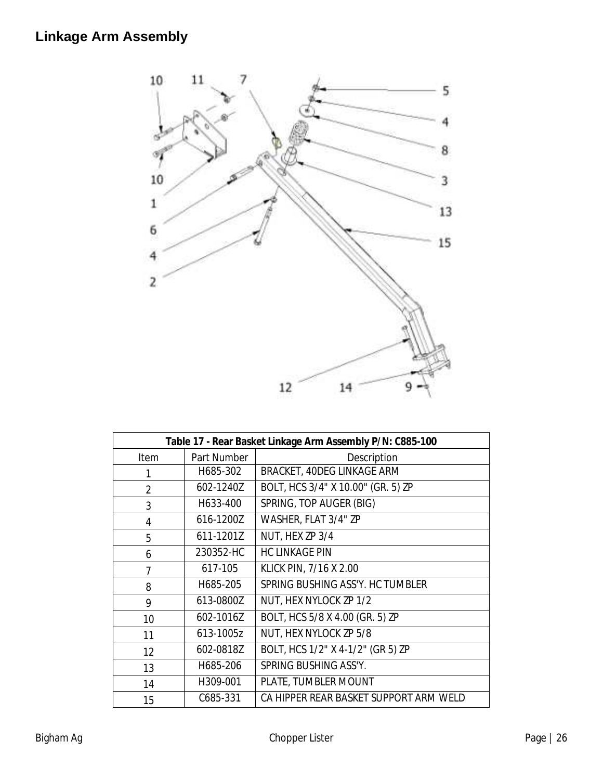

| Table 17 - Rear Basket Linkage Arm Assembly P/N: C885-100 |             |                                        |
|-----------------------------------------------------------|-------------|----------------------------------------|
| Item                                                      | Part Number | Description                            |
| 1                                                         | H685-302    | BRACKET, 40DEG LINKAGE ARM             |
| $\overline{2}$                                            | 602-1240Z   | BOLT, HCS 3/4" X 10.00" (GR. 5) ZP     |
| 3                                                         | H633-400    | SPRING, TOP AUGER (BIG)                |
| $\overline{4}$                                            | 616-1200Z   | WASHER, FLAT 3/4" ZP                   |
| 5                                                         | 611-1201Z   | NUT, HEX ZP 3/4                        |
| 6                                                         | 230352-HC   | <b>HC LINKAGE PIN</b>                  |
| 7                                                         | 617-105     | KLICK PIN, 7/16 X 2.00                 |
| 8                                                         | H685-205    | SPRING BUSHING ASS'Y. HC TUMBLER       |
| 9                                                         | 613-0800Z   | NUT, HEX NYLOCK ZP 1/2                 |
| 10                                                        | 602-1016Z   | BOLT, HCS 5/8 X 4.00 (GR. 5) ZP        |
| 11                                                        | 613-1005z   | NUT, HEX NYLOCK ZP 5/8                 |
| 12                                                        | 602-0818Z   | BOLT, HCS 1/2" X 4-1/2" (GR 5) ZP      |
| 13                                                        | H685-206    | SPRING BUSHING ASS'Y.                  |
| 14                                                        | H309-001    | PLATE, TUMBLER MOUNT                   |
| 15                                                        | C685-331    | CA HIPPER REAR BASKET SUPPORT ARM WELD |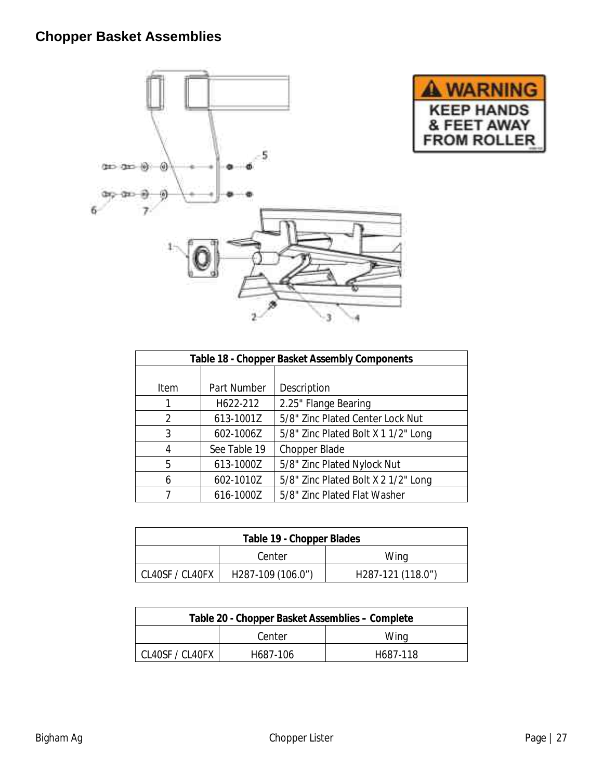# **Chopper Basket Assemblies**



| <b>JARN</b>                                            |  |
|--------------------------------------------------------|--|
| <b>KEEP HANDS</b><br>& FEET AWAY<br><b>FROM ROLLER</b> |  |

| Table 18 - Chopper Basket Assembly Components |              |                                     |  |
|-----------------------------------------------|--------------|-------------------------------------|--|
|                                               |              |                                     |  |
| Item                                          | Part Number  | Description                         |  |
|                                               | H622-212     | 2.25" Flange Bearing                |  |
| $\mathcal{P}$                                 | 613-1001Z    | 5/8" Zinc Plated Center Lock Nut    |  |
| 3                                             | 602-1006Z    | 5/8" Zinc Plated Bolt X 1 1/2" Long |  |
| 4                                             | See Table 19 | Chopper Blade                       |  |
| 5                                             | 613-1000Z    | 5/8" Zinc Plated Nylock Nut         |  |
| 6                                             | 602-1010Z    | 5/8" Zinc Plated Bolt X 2 1/2" Long |  |
|                                               | 616-1000Z    | 5/8" Zinc Plated Flat Washer        |  |

| Table 19 - Chopper Blades |                   |                   |
|---------------------------|-------------------|-------------------|
| Center<br>Wina            |                   |                   |
| CL40SF / CL40FX           | H287-109 (106.0") | H287-121 (118.0") |

| Table 20 - Chopper Basket Assemblies - Complete |          |          |
|-------------------------------------------------|----------|----------|
| Center                                          |          | Wing     |
| CL40SF / CL40FX                                 | H687-106 | H687-118 |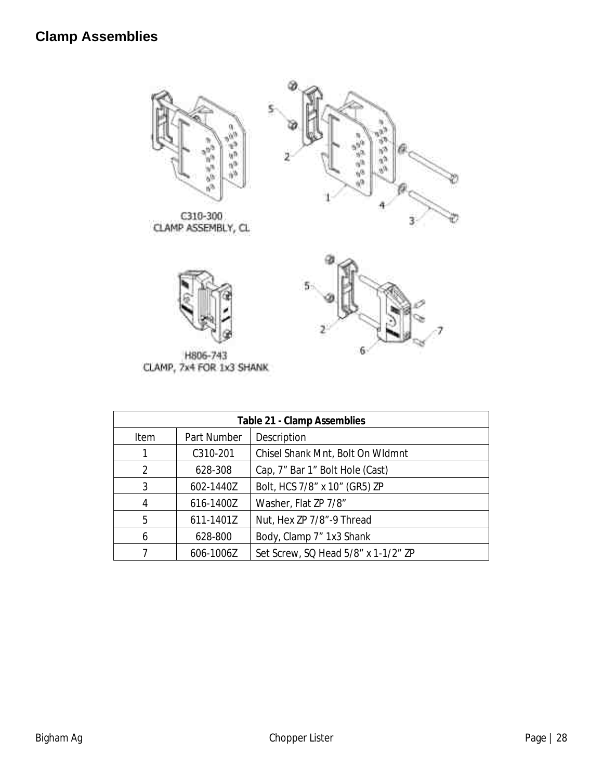





H806-743<br>CLAMP, 7x4 FOR 1x3 SHANK

| Table 21 - Clamp Assemblies |             |                                     |
|-----------------------------|-------------|-------------------------------------|
| Item                        | Part Number | Description                         |
| 1                           | C310-201    | Chisel Shank Mnt, Bolt On Widmnt    |
| 2                           | 628-308     | Cap, 7" Bar 1" Bolt Hole (Cast)     |
| 3                           | 602-1440Z   | Bolt, HCS 7/8" x 10" (GR5) ZP       |
| 4                           | 616-1400Z   | Washer, Flat ZP 7/8"                |
| 5                           | 611-1401Z   | Nut, Hex ZP 7/8"-9 Thread           |
| 6                           | 628-800     | Body, Clamp 7" 1x3 Shank            |
|                             | 606-1006Z   | Set Screw, SQ Head 5/8" x 1-1/2" ZP |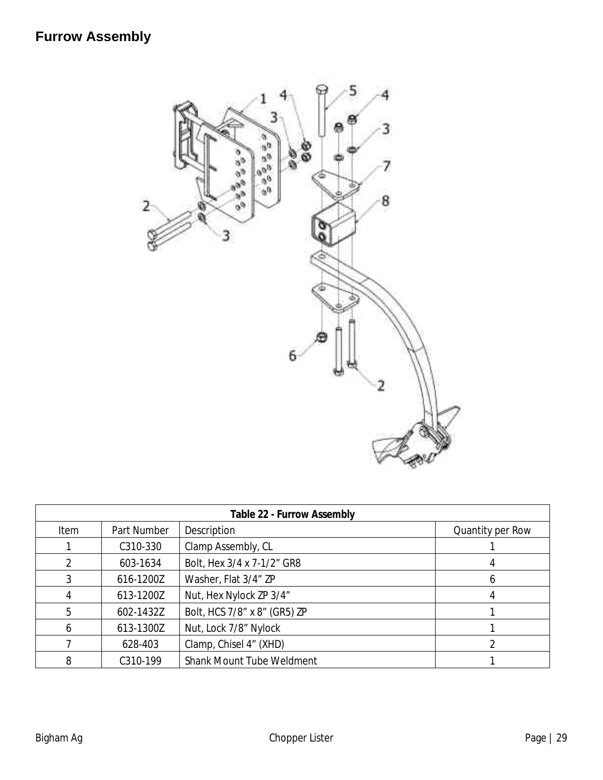

| Table 22 - Furrow Assembly |             |                              |                  |
|----------------------------|-------------|------------------------------|------------------|
| Item                       | Part Number | Description                  | Quantity per Row |
|                            | C310-330    | Clamp Assembly, CL           |                  |
| 2                          | 603-1634    | Bolt, Hex 3/4 x 7-1/2" GR8   |                  |
| 3                          | 616-1200Z   | Washer, Flat 3/4" ZP         | h                |
| 4                          | 613-1200Z   | Nut, Hex Nylock ZP 3/4"      |                  |
| 5                          | 602-1432Z   | Bolt, HCS 7/8" x 8" (GR5) ZP |                  |
| 6                          | 613-1300Z   | Nut, Lock 7/8" Nylock        |                  |
|                            | 628-403     | Clamp, Chisel 4" (XHD)       |                  |
| 8                          | C310-199    | Shank Mount Tube Weldment    |                  |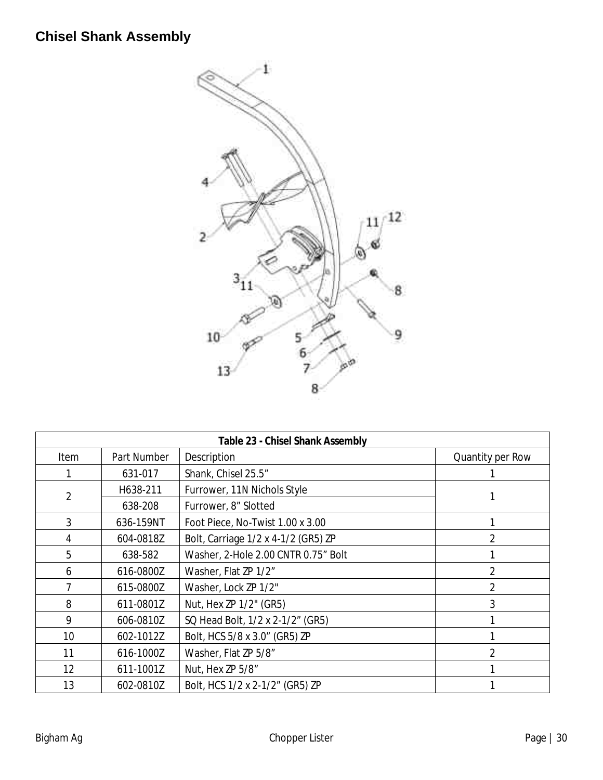# **Chisel Shank Assembly**



|                |             | Table 23 - Chisel Shank Assembly    |                  |
|----------------|-------------|-------------------------------------|------------------|
| Item           | Part Number | Description                         | Quantity per Row |
|                | 631-017     | Shank, Chisel 25.5"                 |                  |
| $\overline{2}$ | H638-211    | Furrower, 11N Nichols Style         |                  |
|                | 638-208     | Furrower, 8" Slotted                |                  |
| 3              | 636-159NT   | Foot Piece, No-Twist 1.00 x 3.00    |                  |
| 4              | 604-0818Z   | Bolt, Carriage 1/2 x 4-1/2 (GR5) ZP | $\overline{2}$   |
| 5              | 638-582     | Washer, 2-Hole 2.00 CNTR 0.75" Bolt |                  |
| 6              | 616-0800Z   | Washer, Flat ZP 1/2"                | 2                |
|                | 615-0800Z   | Washer, Lock ZP 1/2"                | 2                |
| 8              | 611-0801Z   | Nut, Hex ZP 1/2" (GR5)              | 3                |
| 9              | 606-0810Z   | SQ Head Bolt, 1/2 x 2-1/2" (GR5)    |                  |
| 10             | 602-1012Z   | Bolt, HCS 5/8 x 3.0" (GR5) ZP       |                  |
| 11             | 616-1000Z   | Washer, Flat ZP 5/8"                |                  |
| 12             | 611-1001Z   | Nut, Hex ZP 5/8"                    |                  |
| 13             | 602-0810Z   | Bolt, HCS 1/2 x 2-1/2" (GR5) ZP     |                  |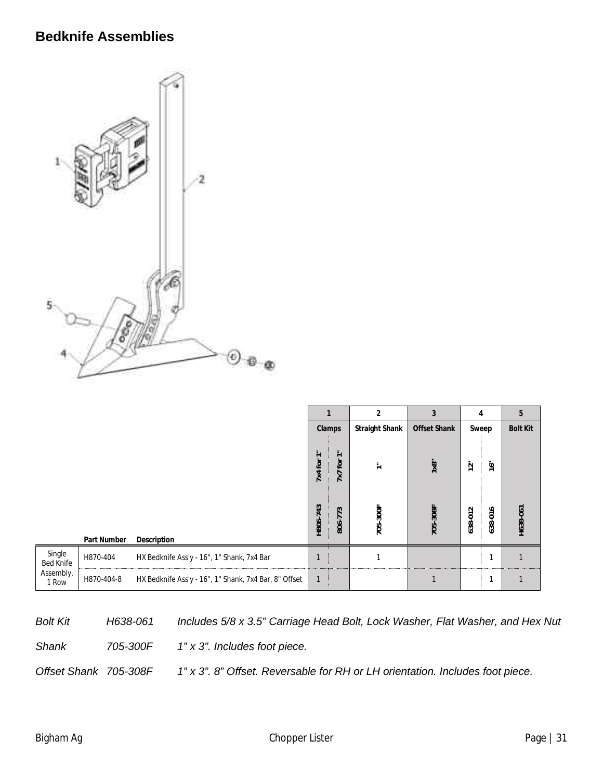# **Bedknife Assemblies**



|                                                  |             |                                                       |                                                        |                                                       | $\overline{2}$ | 3                          | $\overline{4}$              |                          | 5               |
|--------------------------------------------------|-------------|-------------------------------------------------------|--------------------------------------------------------|-------------------------------------------------------|----------------|----------------------------|-----------------------------|--------------------------|-----------------|
|                                                  |             |                                                       | Clamps                                                 |                                                       | Straight Shank | Offset Shank               |                             | Sweep                    | <b>Bolt Kit</b> |
|                                                  |             |                                                       | $\equiv$<br>$\overline{ }$<br>7x4 for<br>43<br>H806-7- | Ξ<br>$\overline{\phantom{0}}$<br>for<br>7x<br>3<br>77 | ≑<br>705-300F  | $1 \times 8$ "<br>705-308F | 12 <sup>11</sup><br>638-012 | 16"<br>$\circ$<br>638-01 | H638-061        |
|                                                  | Part Number | Description                                           |                                                        | 806-                                                  |                |                            |                             |                          |                 |
| Single<br><b>Bed Knife</b><br>Assembly,<br>1 Row | H870-404    | HX Bedknife Ass'y - 16", 1" Shank, 7x4 Bar            |                                                        |                                                       |                |                            |                             | 1                        |                 |
|                                                  | H870-404-8  | HX Bedknife Ass'y - 16", 1" Shank, 7x4 Bar, 8" Offset | $\overline{1}$                                         |                                                       |                |                            |                             | 1                        |                 |

*Bolt Kit H638-061 Includes 5/8 x 3.5" Carriage Head Bolt, Lock Washer, Flat Washer, and Hex Nut Shank 705-300F 1" x 3". Includes foot piece.* 

*Offset Shank 705-308F 1" x 3". 8" Offset. Reversable for RH or LH orientation. Includes foot piece.*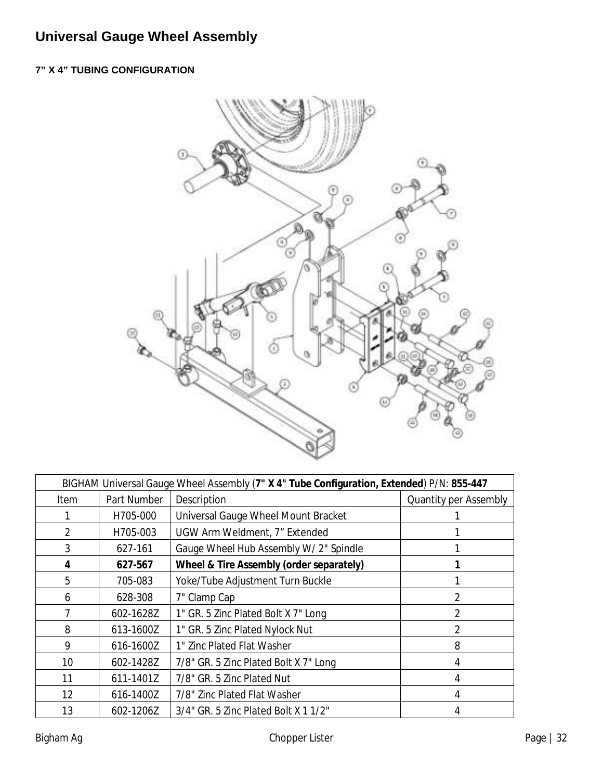# **Universal Gauge Wheel Assembly**

#### **7" X 4" TUBING CONFIGURATION**



| BIGHAM Universal Gauge Wheel Assembly (7" X 4" Tube Configuration, Extended) P/N: 855-447 |             |                                          |                       |  |  |  |
|-------------------------------------------------------------------------------------------|-------------|------------------------------------------|-----------------------|--|--|--|
| Item                                                                                      | Part Number | Description                              | Quantity per Assembly |  |  |  |
|                                                                                           | H705-000    | Universal Gauge Wheel Mount Bracket      |                       |  |  |  |
| $\overline{2}$                                                                            | H705-003    | UGW Arm Weldment, 7" Extended            |                       |  |  |  |
| 3                                                                                         | 627-161     | Gauge Wheel Hub Assembly W/ 2" Spindle   |                       |  |  |  |
| 4                                                                                         | 627-567     | Wheel & Tire Assembly (order separately) |                       |  |  |  |
| 5                                                                                         | 705-083     | Yoke/Tube Adjustment Turn Buckle         |                       |  |  |  |
| 6                                                                                         | 628-308     | 7" Clamp Cap                             | 2                     |  |  |  |
|                                                                                           | 602-1628Z   | 1" GR. 5 Zinc Plated Bolt X 7" Long      | $\mathfrak{D}$        |  |  |  |
| 8                                                                                         | 613-1600Z   | 1" GR. 5 Zinc Plated Nylock Nut          | 2                     |  |  |  |
| 9                                                                                         | 616-1600Z   | 1" Zinc Plated Flat Washer               | 8                     |  |  |  |
| 10                                                                                        | 602-1428Z   | 7/8" GR. 5 Zinc Plated Bolt X 7" Long    | 4                     |  |  |  |
| 11                                                                                        | 611-1401Z   | 7/8" GR. 5 Zinc Plated Nut               | 4                     |  |  |  |
| 12                                                                                        | 616-1400Z   | 7/8" Zinc Plated Flat Washer             | 4                     |  |  |  |
| 13                                                                                        | 602-1206Z   | 3/4" GR. 5 Zinc Plated Bolt X 1 1/2"     |                       |  |  |  |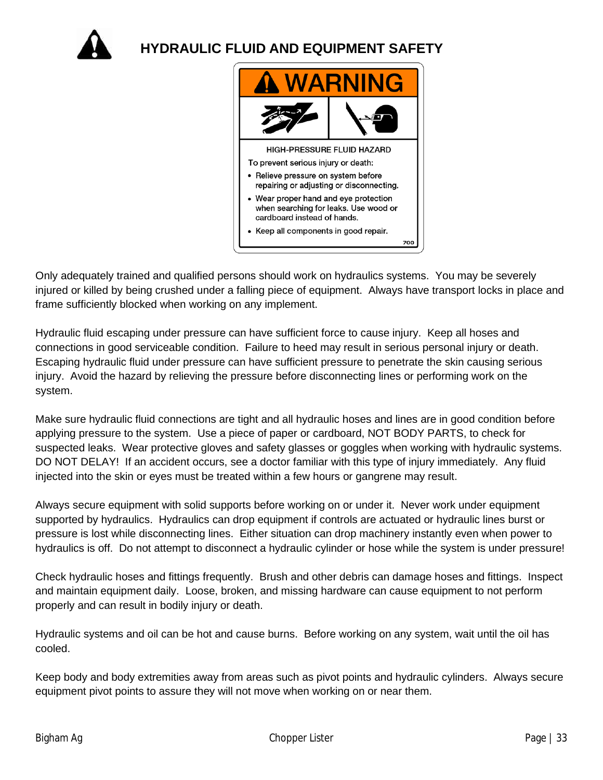

**HYDRAULIC FLUID AND EQUIPMENT SAFETY**



Only adequately trained and qualified persons should work on hydraulics systems. You may be severely injured or killed by being crushed under a falling piece of equipment. Always have transport locks in place and frame sufficiently blocked when working on any implement.

Hydraulic fluid escaping under pressure can have sufficient force to cause injury. Keep all hoses and connections in good serviceable condition. Failure to heed may result in serious personal injury or death. Escaping hydraulic fluid under pressure can have sufficient pressure to penetrate the skin causing serious injury. Avoid the hazard by relieving the pressure before disconnecting lines or performing work on the system.

Make sure hydraulic fluid connections are tight and all hydraulic hoses and lines are in good condition before applying pressure to the system. Use a piece of paper or cardboard, NOT BODY PARTS, to check for suspected leaks. Wear protective gloves and safety glasses or goggles when working with hydraulic systems. DO NOT DELAY! If an accident occurs, see a doctor familiar with this type of injury immediately. Any fluid injected into the skin or eyes must be treated within a few hours or gangrene may result.

Always secure equipment with solid supports before working on or under it. Never work under equipment supported by hydraulics. Hydraulics can drop equipment if controls are actuated or hydraulic lines burst or pressure is lost while disconnecting lines. Either situation can drop machinery instantly even when power to hydraulics is off. Do not attempt to disconnect a hydraulic cylinder or hose while the system is under pressure!

Check hydraulic hoses and fittings frequently. Brush and other debris can damage hoses and fittings. Inspect and maintain equipment daily. Loose, broken, and missing hardware can cause equipment to not perform properly and can result in bodily injury or death.

Hydraulic systems and oil can be hot and cause burns. Before working on any system, wait until the oil has cooled.

Keep body and body extremities away from areas such as pivot points and hydraulic cylinders. Always secure equipment pivot points to assure they will not move when working on or near them.